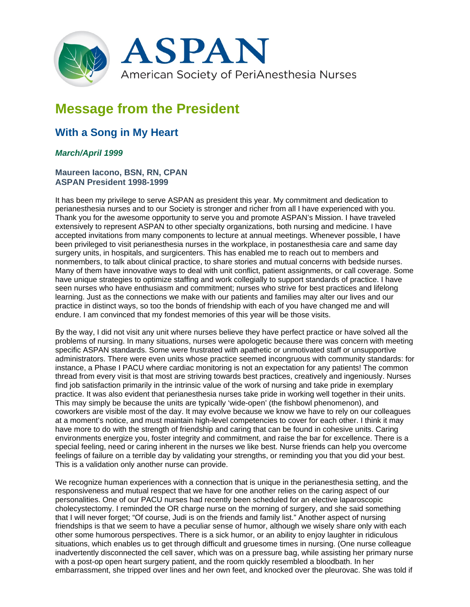

## **Message from the President**

## **With a Song in My Heart**

## *March/April 1999*

## **Maureen Iacono, BSN, RN, CPAN ASPAN President 1998-1999**

It has been my privilege to serve ASPAN as president this year. My commitment and dedication to perianesthesia nurses and to our Society is stronger and richer from all I have experienced with you. Thank you for the awesome opportunity to serve you and promote ASPAN's Mission. I have traveled extensively to represent ASPAN to other specialty organizations, both nursing and medicine. I have accepted invitations from many components to lecture at annual meetings. Whenever possible, I have been privileged to visit perianesthesia nurses in the workplace, in postanesthesia care and same day surgery units, in hospitals, and surgicenters. This has enabled me to reach out to members and nonmembers, to talk about clinical practice, to share stories and mutual concerns with bedside nurses. Many of them have innovative ways to deal with unit conflict, patient assignments, or call coverage. Some have unique strategies to optimize staffing and work collegially to support standards of practice. I have seen nurses who have enthusiasm and commitment; nurses who strive for best practices and lifelong learning. Just as the connections we make with our patients and families may alter our lives and our practice in distinct ways, so too the bonds of friendship with each of you have changed me and will endure. I am convinced that my fondest memories of this year will be those visits.

By the way, I did not visit any unit where nurses believe they have perfect practice or have solved all the problems of nursing. In many situations, nurses were apologetic because there was concern with meeting specific ASPAN standards. Some were frustrated with apathetic or unmotivated staff or unsupportive administrators. There were even units whose practice seemed incongruous with community standards: for instance, a Phase I PACU where cardiac monitoring is not an expectation for any patients! The common thread from every visit is that most are striving towards best practices, creatively and ingeniously. Nurses find job satisfaction primarily in the intrinsic value of the work of nursing and take pride in exemplary practice. It was also evident that perianesthesia nurses take pride in working well together in their units. This may simply be because the units are typically 'wide-open' (the fishbowl phenomenon), and coworkers are visible most of the day. It may evolve because we know we have to rely on our colleagues at a moment's notice, and must maintain high-level competencies to cover for each other. I think it may have more to do with the strength of friendship and caring that can be found in cohesive units. Caring environments energize you, foster integrity and commitment, and raise the bar for excellence. There is a special feeling, need or caring inherent in the nurses we like best. Nurse friends can help you overcome feelings of failure on a terrible day by validating your strengths, or reminding you that you did your best. This is a validation only another nurse can provide.

We recognize human experiences with a connection that is unique in the perianesthesia setting, and the responsiveness and mutual respect that we have for one another relies on the caring aspect of our personalities. One of our PACU nurses had recently been scheduled for an elective laparoscopic cholecystectomy. I reminded the OR charge nurse on the morning of surgery, and she said something that I will never forget; "Of course, Judi is on the friends and family list." Another aspect of nursing friendships is that we seem to have a peculiar sense of humor, although we wisely share only with each other some humorous perspectives. There is a sick humor, or an ability to enjoy laughter in ridiculous situations, which enables us to get through difficult and gruesome times in nursing. (One nurse colleague inadvertently disconnected the cell saver, which was on a pressure bag, while assisting her primary nurse with a post-op open heart surgery patient, and the room quickly resembled a bloodbath. In her embarrassment, she tripped over lines and her own feet, and knocked over the pleurovac. She was told if